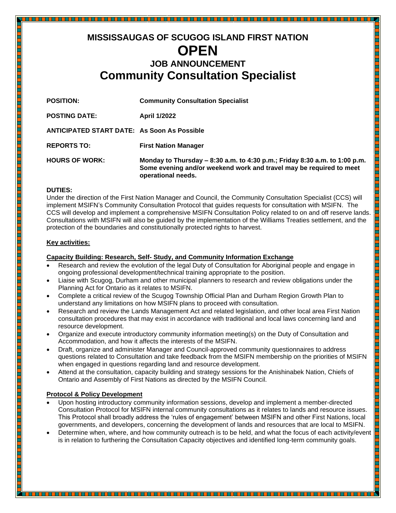# **MISSISSAUGAS OF SCUGOG ISLAND FIRST NATION OPEN JOB ANNOUNCEMENT Community Consultation Specialist**

| <b>POSITION:</b>                                   | <b>Community Consultation Specialist</b>                                                                                                                                |
|----------------------------------------------------|-------------------------------------------------------------------------------------------------------------------------------------------------------------------------|
| <b>POSTING DATE:</b>                               | <b>April 1/2022</b>                                                                                                                                                     |
| <b>ANTICIPATED START DATE: As Soon As Possible</b> |                                                                                                                                                                         |
| <b>REPORTS TO:</b>                                 | <b>First Nation Manager</b>                                                                                                                                             |
| <b>HOURS OF WORK:</b>                              | Monday to Thursday - 8:30 a.m. to 4:30 p.m.; Friday 8:30 a.m. to 1:00 p.m.<br>Some evening and/or weekend work and travel may be required to meet<br>operational needs. |

#### **DUTIES:**

Under the direction of the First Nation Manager and Council, the Community Consultation Specialist (CCS) will implement MSIFN's Community Consultation Protocol that guides requests for consultation with MSIFN. The CCS will develop and implement a comprehensive MSIFN Consultation Policy related to on and off reserve lands. Consultations with MSIFN will also be guided by the implementation of the Williams Treaties settlement, and the protection of the boundaries and constitutionally protected rights to harvest.

<u>THE PERSON</u>

#### **Key activities:**

## **Capacity Building: Research, Self- Study, and Community Information Exchange**

- Research and review the evolution of the legal Duty of Consultation for Aboriginal people and engage in ongoing professional development/technical training appropriate to the position.
- Liaise with Scugog, Durham and other municipal planners to research and review obligations under the Planning Act for Ontario as it relates to MSIFN.
- Complete a critical review of the Scugog Township Official Plan and Durham Region Growth Plan to understand any limitations on how MSIFN plans to proceed with consultation.
- Research and review the Lands Management Act and related legislation, and other local area First Nation consultation procedures that may exist in accordance with traditional and local laws concerning land and resource development.
- Organize and execute introductory community information meeting(s) on the Duty of Consultation and Accommodation, and how it affects the interests of the MSIFN.
- Draft, organize and administer Manager and Council-approved community questionnaires to address questions related to Consultation and take feedback from the MSIFN membership on the priorities of MSIFN when engaged in questions regarding land and resource development.
- Attend at the consultation, capacity building and strategy sessions for the Anishinabek Nation, Chiefs of Ontario and Assembly of First Nations as directed by the MSIFN Council.

#### **Protocol & Policy Development**

- Upon hosting introductory community information sessions, develop and implement a member-directed Consultation Protocol for MSIFN internal community consultations as it relates to lands and resource issues. This Protocol shall broadly address the 'rules of engagement' between MSIFN and other First Nations, local governments, and developers, concerning the development of lands and resources that are local to MSIFN. Consultation Protocol for MSIFN internal community consultations as it relates to lands and resource issues.<br>This Protocol shall broadly address the 'rules of engagement' between MSIFN and other First Nations, local<br>govern
- is in relation to furthering the Consultation Capacity objectives and identified long-term community goals.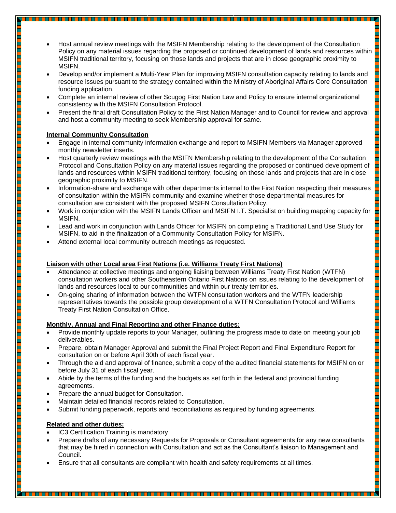- Host annual review meetings with the MSIFN Membership relating to the development of the Consultation Policy on any material issues regarding the proposed or continued development of lands and resources within  $\Box$ MSIFN traditional territory, focusing on those lands and projects that are in close geographic proximity to MSIFN.
- Develop and/or implement a Multi-Year Plan for improving MSIFN consultation capacity relating to lands and resource issues pursuant to the strategy contained within the Ministry of Aboriginal Affairs Core Consultation funding application.

i<br>Li

- Complete an internal review of other Scugog First Nation Law and Policy to ensure internal organizational consistency with the MSIFN Consultation Protocol.
- Present the final draft Consultation Policy to the First Nation Manager and to Council for review and approval and host a community meeting to seek Membership approval for same.

# **Internal Community Consultation**

- Engage in internal community information exchange and report to MSIFN Members via Manager approved monthly newsletter inserts.
- Host quarterly review meetings with the MSIFN Membership relating to the development of the Consultation Protocol and Consultation Policy on any material issues regarding the proposed or continued development of lands and resources within MSIFN traditional territory, focusing on those lands and projects that are in close geographic proximity to MSIFN.
- Information-share and exchange with other departments internal to the First Nation respecting their measures of consultation within the MSIFN community and examine whether those departmental measures for consultation are consistent with the proposed MSIFN Consultation Policy.
- Work in conjunction with the MSIFN Lands Officer and MSIFN I.T. Specialist on building mapping capacity for MSIFN.
- Lead and work in conjunction with Lands Officer for MSIFN on completing a Traditional Land Use Study for MSIFN, to aid in the finalization of a Community Consultation Policy for MSIFN.
- Attend external local community outreach meetings as requested.

# **Liaison with other Local area First Nations (i.e. Williams Treaty First Nations)**

- Attendance at collective meetings and ongoing liaising between Williams Treaty First Nation (WTFN) consultation workers and other Southeastern Ontario First Nations on issues relating to the development of lands and resources local to our communities and within our treaty territories.
- On-going sharing of information between the WTFN consultation workers and the WTFN leadership representatives towards the possible group development of a WTFN Consultation Protocol and Williams Treaty First Nation Consultation Office.

# **Monthly, Annual and Final Reporting and other Finance duties:**

- Provide monthly update reports to your Manager, outlining the progress made to date on meeting your job deliverables.
- Prepare, obtain Manager Approval and submit the Final Project Report and Final Expenditure Report for consultation on or before April 30th of each fiscal year.
- Through the aid and approval of finance, submit a copy of the audited financial statements for MSIFN on or before July 31 of each fiscal year.
- Abide by the terms of the funding and the budgets as set forth in the federal and provincial funding agreements.
- Prepare the annual budget for Consultation.
- Maintain detailed financial records related to Consultation.
- Submit funding paperwork, reports and reconciliations as required by funding agreements.

# **Related and other duties:**

- IC3 Certification Training is mandatory.
- Prepare drafts of any necessary Requests for Proposals or Consultant agreements for any new consultants that may be hired in connection with Consultation and act as the Consultant's liaison to Management and Council.

• Ensure that all consultants are compliant with health and safety requirements at all times.